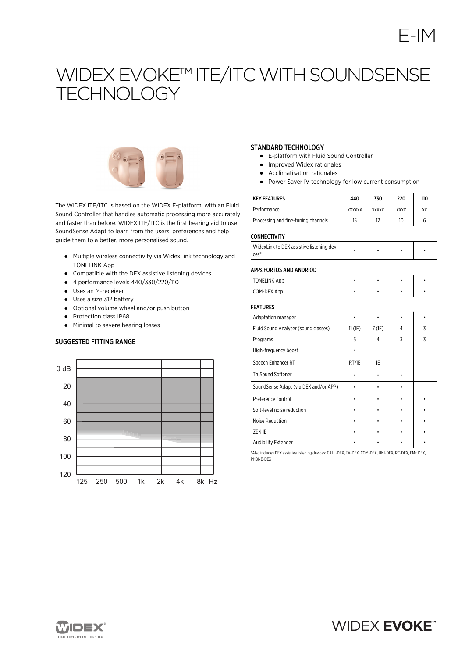# WIDEX EVOKE™ ITE/ITC WITH SOUNDSENSE **TECHNOLOGY**



The WIDEX ITE/ITC is based on the WIDEX E-platform, with an Fluid Sound Controller that handles automatic processing more accurately and faster than before. WIDEX ITE/ITC is the first hearing aid to use SoundSense Adapt to learn from the users' preferences and help guide them to a better, more personalised sound.

- Multiple wireless connectivity via WidexLink technology and TONELINK App
- Compatible with the DEX assistive listening devices
- 4 performance levels 440/330/220/110
- Uses an M-receiver
- Uses a size 312 battery
- Optional volume wheel and/or push button
- Protection class IP68
- Minimal to severe hearing losses

#### SUGGESTED FITTING RANGE



# STANDARD TECHNOLOGY

- E-platform with Fluid Sound Controller
- Improved Widex rationales
- Acclimatisation rationales
- Power Saver IV technology for low current consumption

| <b>KEY FEATURES</b>                 | 440           | 330          | 220         | 110 |
|-------------------------------------|---------------|--------------|-------------|-----|
| Performance                         | <b>XXXXXX</b> | <b>XXXXX</b> | <b>XXXX</b> | XX  |
| Processing and fine-tuning channels | 15            | 12           | 10          |     |

#### CONNECTIVITY

| WidexLink to DEX assistive listening devi-<br>ces' |  |  |  |  |
|----------------------------------------------------|--|--|--|--|
|----------------------------------------------------|--|--|--|--|

#### APPs FOR iOS AND ANDRIOD

| <b>TONELINK App</b> |  |  |
|---------------------|--|--|
| COM-DEX App         |  |  |

## FEATURES

| <b>FEAIURES</b>                       |           |          |   |   |
|---------------------------------------|-----------|----------|---|---|
| Adaptation manager                    |           |          |   |   |
| Fluid Sound Analyser (sound classes)  | $11$ (IE) | $7$ (IE) | 4 | 3 |
| Programs                              | 5         | 4        | 3 | 3 |
| High-frequency boost                  |           |          |   |   |
| Speech Enhancer RT                    | RT/IE     | IE       |   |   |
| <b>TruSound Softener</b>              |           |          |   |   |
| SoundSense Adapt (via DEX and/or APP) |           |          |   |   |
| Preference control                    |           |          |   |   |
| Soft-level noise reduction            |           |          |   |   |
| Noise Reduction                       |           |          |   |   |
| ZEN IE                                |           |          |   |   |
| Audibility Extender                   |           |          |   |   |

\*Also includes DEX assistive listening devices: CALL-DEX, TV-DEX, COM-DEX, UNI-DEX, RC-DEX, FM+ DEX, PHONE-DEX